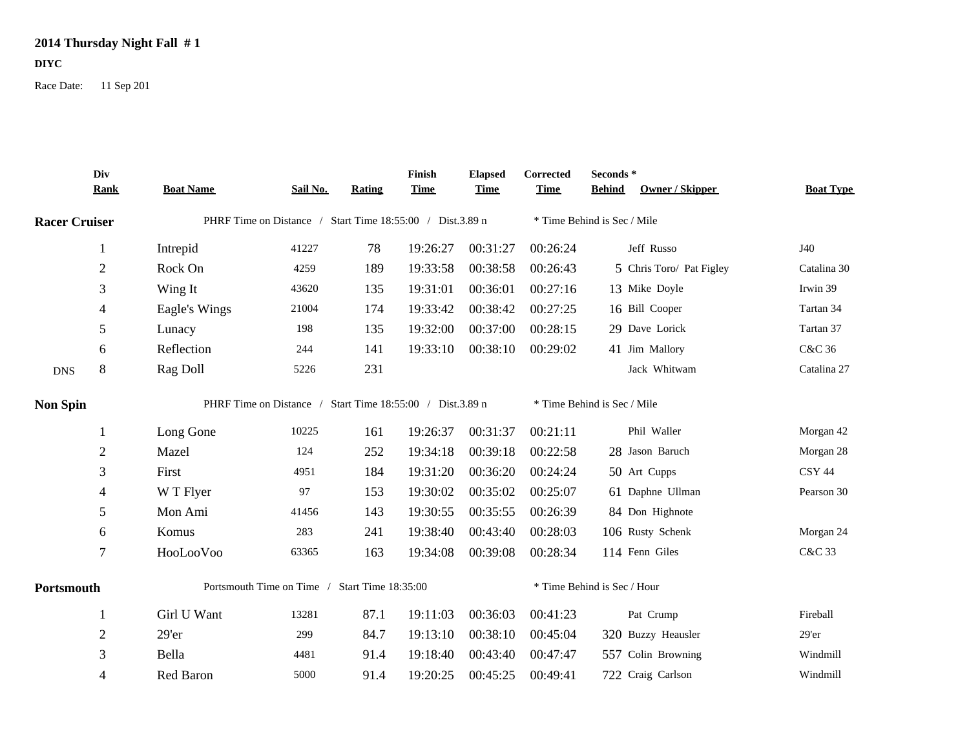## **2014 Thursday Night Fall # 1**

## **DIYC**

Race Date: 11 Sep 201

|                      | Div<br><b>Rank</b> | <b>Boat Name</b>                              | Sail No.                                                  | Rating | <b>Finish</b><br><b>Time</b> | <b>Elapsed</b><br><b>Time</b> | Corrected<br><b>Time</b> | Seconds *<br>Owner / Skipper<br><b>Behind</b> | <b>Boat Type</b> |
|----------------------|--------------------|-----------------------------------------------|-----------------------------------------------------------|--------|------------------------------|-------------------------------|--------------------------|-----------------------------------------------|------------------|
| <b>Racer Cruiser</b> |                    |                                               | PHRF Time on Distance / Start Time 18:55:00 / Dist.3.89 n |        | * Time Behind is Sec / Mile  |                               |                          |                                               |                  |
|                      | $\mathbf{1}$       | Intrepid                                      | 41227                                                     | 78     | 19:26:27                     | 00:31:27                      | 00:26:24                 | Jeff Russo                                    | J40              |
|                      | $\sqrt{2}$         | Rock On                                       | 4259                                                      | 189    | 19:33:58                     | 00:38:58                      | 00:26:43                 | 5 Chris Toro/ Pat Figley                      | Catalina 30      |
|                      | 3                  | Wing It                                       | 43620                                                     | 135    | 19:31:01                     | 00:36:01                      | 00:27:16                 | 13 Mike Doyle                                 | Irwin 39         |
|                      | 4                  | Eagle's Wings                                 | 21004                                                     | 174    | 19:33:42                     | 00:38:42                      | 00:27:25                 | 16 Bill Cooper                                | Tartan 34        |
|                      | 5                  | Lunacy                                        | 198                                                       | 135    | 19:32:00                     | 00:37:00                      | 00:28:15                 | 29 Dave Lorick                                | Tartan 37        |
|                      | 6                  | Reflection                                    | 244                                                       | 141    | 19:33:10                     | 00:38:10                      | 00:29:02                 | 41 Jim Mallory                                | C&C 36           |
| <b>DNS</b>           | 8                  | Rag Doll                                      | 5226                                                      | 231    |                              |                               |                          | Jack Whitwam                                  | Catalina 27      |
| <b>Non Spin</b>      |                    |                                               | PHRF Time on Distance / Start Time 18:55:00 / Dist.3.89 n |        |                              |                               |                          | * Time Behind is Sec / Mile                   |                  |
|                      | -1                 | Long Gone                                     | 10225                                                     | 161    | 19:26:37                     | 00:31:37                      | 00:21:11                 | Phil Waller                                   | Morgan 42        |
|                      | $\sqrt{2}$         | Mazel                                         | 124                                                       | 252    | 19:34:18                     | 00:39:18                      | 00:22:58                 | 28 Jason Baruch                               | Morgan 28        |
|                      | 3                  | First                                         | 4951                                                      | 184    | 19:31:20                     | 00:36:20                      | 00:24:24                 | 50 Art Cupps                                  | <b>CSY 44</b>    |
|                      | $\overline{4}$     | W T Flyer                                     | 97                                                        | 153    | 19:30:02                     | 00:35:02                      | 00:25:07                 | 61 Daphne Ullman                              | Pearson 30       |
|                      | 5                  | Mon Ami                                       | 41456                                                     | 143    | 19:30:55                     | 00:35:55                      | 00:26:39                 | 84 Don Highnote                               |                  |
|                      | 6                  | Komus                                         | 283                                                       | 241    | 19:38:40                     | 00:43:40                      | 00:28:03                 | 106 Rusty Schenk                              | Morgan 24        |
|                      | $\overline{7}$     | HooLooVoo                                     | 63365                                                     | 163    | 19:34:08                     | 00:39:08                      | 00:28:34                 | 114 Fenn Giles                                | C&C 33           |
| Portsmouth           |                    | Portsmouth Time on Time / Start Time 18:35:00 |                                                           |        |                              | * Time Behind is Sec / Hour   |                          |                                               |                  |
|                      | -1                 | Girl U Want                                   | 13281                                                     | 87.1   | 19:11:03                     | 00:36:03                      | 00:41:23                 | Pat Crump                                     | Fireball         |
|                      | $\overline{2}$     | 29'er                                         | 299                                                       | 84.7   | 19:13:10                     | 00:38:10                      | 00:45:04                 | 320 Buzzy Heausler                            | 29'er            |
|                      | 3                  | Bella                                         | 4481                                                      | 91.4   | 19:18:40                     | 00:43:40                      | 00:47:47                 | 557 Colin Browning                            | Windmill         |
|                      | 4                  | Red Baron                                     | 5000                                                      | 91.4   | 19:20:25                     | 00:45:25                      | 00:49:41                 | 722 Craig Carlson                             | Windmill         |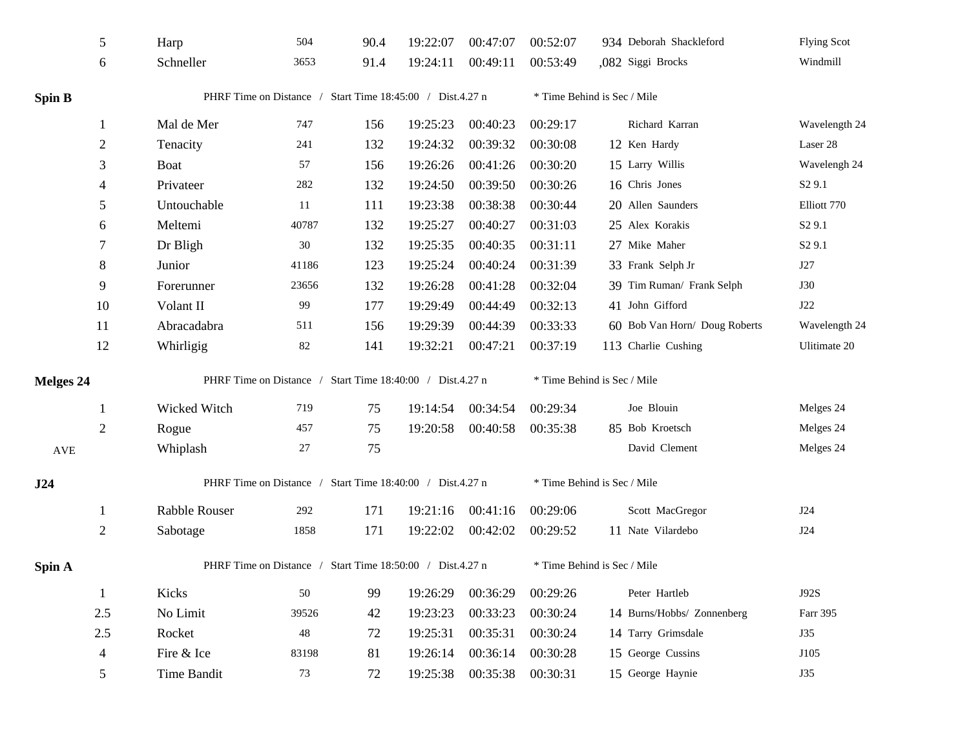|                      | $\sqrt{5}$     | Harp                                                      | 504    | 90.4 | 19:22:07 | 00:47:07 | 00:52:07                    | 934 Deborah Shackleford       | <b>Flying Scot</b> |  |  |
|----------------------|----------------|-----------------------------------------------------------|--------|------|----------|----------|-----------------------------|-------------------------------|--------------------|--|--|
|                      | 6              | Schneller                                                 | 3653   | 91.4 | 19:24:11 | 00:49:11 | 00:53:49                    | ,082 Siggi Brocks             | Windmill           |  |  |
| <b>Spin B</b>        |                | PHRF Time on Distance / Start Time 18:45:00 / Dist.4.27 n |        |      |          |          |                             | * Time Behind is Sec / Mile   |                    |  |  |
|                      | 1              | Mal de Mer                                                | 747    | 156  | 19:25:23 | 00:40:23 | 00:29:17                    | Richard Karran                | Wavelength 24      |  |  |
|                      | $\overline{2}$ | Tenacity                                                  | 241    | 132  | 19:24:32 | 00:39:32 | 00:30:08                    | 12 Ken Hardy                  | Laser 28           |  |  |
|                      | 3              | <b>Boat</b>                                               | 57     | 156  | 19:26:26 | 00:41:26 | 00:30:20                    | 15 Larry Willis               | Wavelengh 24       |  |  |
|                      | 4              | Privateer                                                 | 282    | 132  | 19:24:50 | 00:39:50 | 00:30:26                    | 16 Chris Jones                | S <sub>2</sub> 9.1 |  |  |
|                      | 5              | Untouchable                                               | 11     | 111  | 19:23:38 | 00:38:38 | 00:30:44                    | 20 Allen Saunders             | Elliott 770        |  |  |
|                      | 6              | Meltemi                                                   | 40787  | 132  | 19:25:27 | 00:40:27 | 00:31:03                    | 25 Alex Korakis               | S <sub>2</sub> 9.1 |  |  |
|                      | 7              | Dr Bligh                                                  | $30\,$ | 132  | 19:25:35 | 00:40:35 | 00:31:11                    | 27 Mike Maher                 | S <sub>2</sub> 9.1 |  |  |
|                      | $\,8\,$        | Junior                                                    | 41186  | 123  | 19:25:24 | 00:40:24 | 00:31:39                    | 33 Frank Selph Jr             | J27                |  |  |
|                      | 9              | Forerunner                                                | 23656  | 132  | 19:26:28 | 00:41:28 | 00:32:04                    | 39 Tim Ruman/ Frank Selph     | <b>J30</b>         |  |  |
|                      | 10             | Volant II                                                 | 99     | 177  | 19:29:49 | 00:44:49 | 00:32:13                    | 41 John Gifford               | J22                |  |  |
|                      | 11             | Abracadabra                                               | 511    | 156  | 19:29:39 | 00:44:39 | 00:33:33                    | 60 Bob Van Horn/ Doug Roberts | Wavelength 24      |  |  |
|                      | 12             | Whirligig                                                 | $82\,$ | 141  | 19:32:21 | 00:47:21 | 00:37:19                    | 113 Charlie Cushing           | Ulitimate 20       |  |  |
| <b>Melges 24</b>     |                | PHRF Time on Distance / Start Time 18:40:00 / Dist.4.27 n |        |      |          |          | * Time Behind is Sec / Mile |                               |                    |  |  |
|                      | 1              | Wicked Witch                                              | 719    | 75   | 19:14:54 | 00:34:54 | 00:29:34                    | Joe Blouin                    | Melges 24          |  |  |
|                      | $\overline{2}$ | Rogue                                                     | 457    | 75   | 19:20:58 | 00:40:58 | 00:35:38                    | 85 Bob Kroetsch               | Melges 24          |  |  |
| $\operatorname{AVE}$ |                | Whiplash                                                  | $27\,$ | 75   |          |          |                             | David Clement                 | Melges 24          |  |  |
| J24                  |                | PHRF Time on Distance / Start Time 18:40:00 / Dist.4.27 n |        |      |          |          |                             | * Time Behind is Sec / Mile   |                    |  |  |
|                      | 1              | <b>Rabble Rouser</b>                                      | 292    | 171  | 19:21:16 | 00:41:16 | 00:29:06                    | Scott MacGregor               | J24                |  |  |
|                      | $\overline{2}$ | Sabotage                                                  | 1858   | 171  | 19:22:02 | 00:42:02 | 00:29:52                    | 11 Nate Vilardebo             | J24                |  |  |
| Spin A               |                | PHRF Time on Distance / Start Time 18:50:00 / Dist.4.27 n |        |      |          |          |                             | * Time Behind is Sec / Mile   |                    |  |  |
|                      | $\mathbf{1}$   | Kicks                                                     | 50     | 99   | 19:26:29 | 00:36:29 | 00:29:26                    | Peter Hartleb                 | J92S               |  |  |
|                      | 2.5            | No Limit                                                  | 39526  | 42   | 19:23:23 | 00:33:23 | 00:30:24                    | 14 Burns/Hobbs/ Zonnenberg    | Farr 395           |  |  |
|                      | 2.5            | Rocket                                                    | 48     | 72   | 19:25:31 | 00:35:31 | 00:30:24                    | 14 Tarry Grimsdale            | J35                |  |  |
|                      | 4              | Fire & Ice                                                | 83198  | 81   | 19:26:14 | 00:36:14 | 00:30:28                    | 15 George Cussins             | J105               |  |  |
|                      | 5              | Time Bandit                                               | 73     | 72   | 19:25:38 | 00:35:38 | 00:30:31                    | 15 George Haynie              | J35                |  |  |